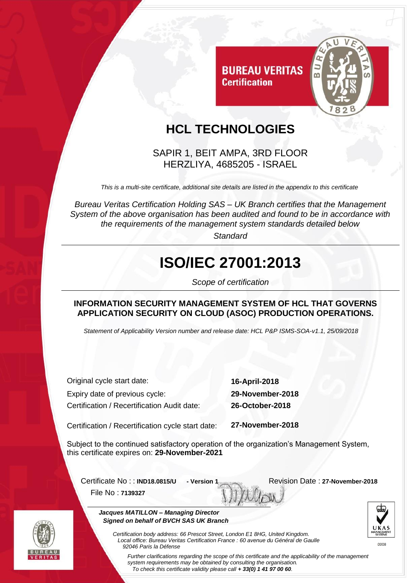

## **HCL TECHNOLOGIES**

**Certification** 

SAPIR 1, BEIT AMPA, 3RD FLOOR HERZLIYA, 4685205 - ISRAEL

*This is a multi-site certificate, additional site details are listed in the appendix to this certificate*

*Bureau Veritas Certification Holding SAS – UK Branch certifies that the Management System of the above organisation has been audited and found to be in accordance with the requirements of the management system standards detailed below*

*Standard*

## **ISO/IEC 27001:2013**

*Scope of certification*

#### **INFORMATION SECURITY MANAGEMENT SYSTEM OF HCL THAT GOVERNS APPLICATION SECURITY ON CLOUD (ASOC) PRODUCTION OPERATIONS.**

*Statement of Applicability Version number and release date: HCL P&P ISMS-SOA-v1.1, 25/09/2018*

Original cycle start date: **16-April-2018** Expiry date of previous cycle: **29-November-2018** Certification / Recertification Audit date: **26-October-2018**

Certification / Recertification cycle start date: **27-November-2018**

Subject to the continued satisfactory operation of the organization's Management System, this certificate expires on: **29-November-2021**

Certificate No :: **IND18.0815/U** - Version 1 Revision Date : 27-November-2018 File No : **7139327**





 *Jacques MATILLON – Managing Director Signed on behalf of BVCH SAS UK Branch*

*Certification body address: 66 Prescot Street, London E1 8HG, United Kingdom. Local office: Bureau Veritas Certification France : 60 avenue du Général de Gaulle 92046 Paris la Défense*

*To check this certificate validity please call + 33(0) 1 41 97 00 60.*

*Further clarifications regarding the scope of this certificate and the applicability of the management system requirements may be obtained by consulting the organisation.*